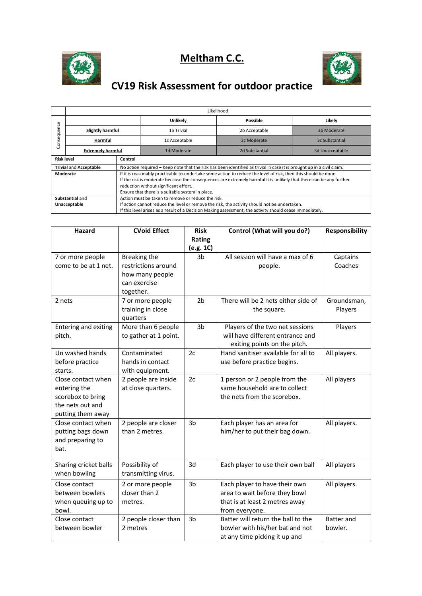





## **CV19 Risk Assessment for outdoor practice**

|                                           | Likelihood               |                                                                                                                                                                                                                                                                                                                                     |               |                |                 |  |  |  |
|-------------------------------------------|--------------------------|-------------------------------------------------------------------------------------------------------------------------------------------------------------------------------------------------------------------------------------------------------------------------------------------------------------------------------------|---------------|----------------|-----------------|--|--|--|
| uence<br>nseqi<br>$\overline{\circ}$<br>Ō |                          |                                                                                                                                                                                                                                                                                                                                     | Unlikely      | Possible       | Likely          |  |  |  |
|                                           | Slightly harmful         |                                                                                                                                                                                                                                                                                                                                     | 1b Trivial    | 2b Acceptable  | 3b Moderate     |  |  |  |
|                                           | Harmful                  |                                                                                                                                                                                                                                                                                                                                     | 1c Acceptable | 2c Moderate    | 3c Substantial  |  |  |  |
|                                           | <b>Extremely harmful</b> |                                                                                                                                                                                                                                                                                                                                     | 1d Moderate   | 2d Substantial | 3d Unacceptable |  |  |  |
| <b>Risk level</b>                         |                          | Control                                                                                                                                                                                                                                                                                                                             |               |                |                 |  |  |  |
| <b>Trivial and Acceptable</b>             |                          | No action required – Keep note that the risk has been identified as trivial in case it is brought up in a civil claim.                                                                                                                                                                                                              |               |                |                 |  |  |  |
| Moderate                                  |                          | If it is reasonably practicable to undertake some action to reduce the level of risk, then this should be done.<br>If the risk is moderate because the consequences are extremely harmful it is unlikely that there can be any further<br>reduction without significant effort.<br>Ensure that there is a suitable system in place. |               |                |                 |  |  |  |
| Substantial and                           |                          | Action must be taken to remove or reduce the risk.                                                                                                                                                                                                                                                                                  |               |                |                 |  |  |  |
| Unacceptable                              |                          | If action cannot reduce the level or remove the risk, the activity should not be undertaken.                                                                                                                                                                                                                                        |               |                |                 |  |  |  |
|                                           |                          | If this level arises as a result of a Decision Making assessment, the activity should cease immediately.                                                                                                                                                                                                                            |               |                |                 |  |  |  |

| <b>Hazard</b>               | <b>CVoid Effect</b>   | <b>Risk</b>    | Control (What will you do?)         | <b>Responsibility</b> |
|-----------------------------|-----------------------|----------------|-------------------------------------|-----------------------|
|                             |                       | Rating         |                                     |                       |
|                             |                       | (e.g. 1C)      |                                     |                       |
| 7 or more people            | Breaking the          | 3b             | All session will have a max of 6    | Captains              |
| come to be at 1 net.        | restrictions around   |                | people.                             | Coaches               |
|                             | how many people       |                |                                     |                       |
|                             | can exercise          |                |                                     |                       |
|                             | together.             |                |                                     |                       |
| 2 nets                      | 7 or more people      | 2 <sub>b</sub> | There will be 2 nets either side of | Groundsman,           |
|                             | training in close     |                | the square.                         | Players               |
|                             | quarters              |                |                                     |                       |
| <b>Entering and exiting</b> | More than 6 people    | 3 <sub>b</sub> | Players of the two net sessions     | Players               |
| pitch.                      | to gather at 1 point. |                | will have different entrance and    |                       |
|                             |                       |                | exiting points on the pitch.        |                       |
| Un washed hands             | Contaminated          | 2c             | Hand sanitiser available for all to | All players.          |
| before practice             | hands in contact      |                | use before practice begins.         |                       |
| starts.                     | with equipment.       |                |                                     |                       |
| Close contact when          | 2 people are inside   | 2c             | 1 person or 2 people from the       | All players           |
| entering the                | at close quarters.    |                | same household are to collect       |                       |
| scorebox to bring           |                       |                | the nets from the scorebox.         |                       |
| the nets out and            |                       |                |                                     |                       |
| putting them away           |                       |                |                                     |                       |
| Close contact when          | 2 people are closer   | 3 <sub>b</sub> | Each player has an area for         | All players.          |
| putting bags down           | than 2 metres.        |                | him/her to put their bag down.      |                       |
| and preparing to            |                       |                |                                     |                       |
| bat.                        |                       |                |                                     |                       |
| Sharing cricket balls       | Possibility of        | 3d             | Each player to use their own ball   | All players           |
| when bowling                | transmitting virus.   |                |                                     |                       |
| Close contact               | 2 or more people      | 3b             | Each player to have their own       | All players.          |
| between bowlers             | closer than 2         |                | area to wait before they bowl       |                       |
| when queuing up to          | metres.               |                | that is at least 2 metres away      |                       |
| bowl.                       |                       |                | from everyone.                      |                       |
| Close contact               | 2 people closer than  | 3 <sub>b</sub> | Batter will return the ball to the  | <b>Batter</b> and     |
| between bowler              | 2 metres              |                | bowler with his/her bat and not     | bowler.               |
|                             |                       |                | at any time picking it up and       |                       |